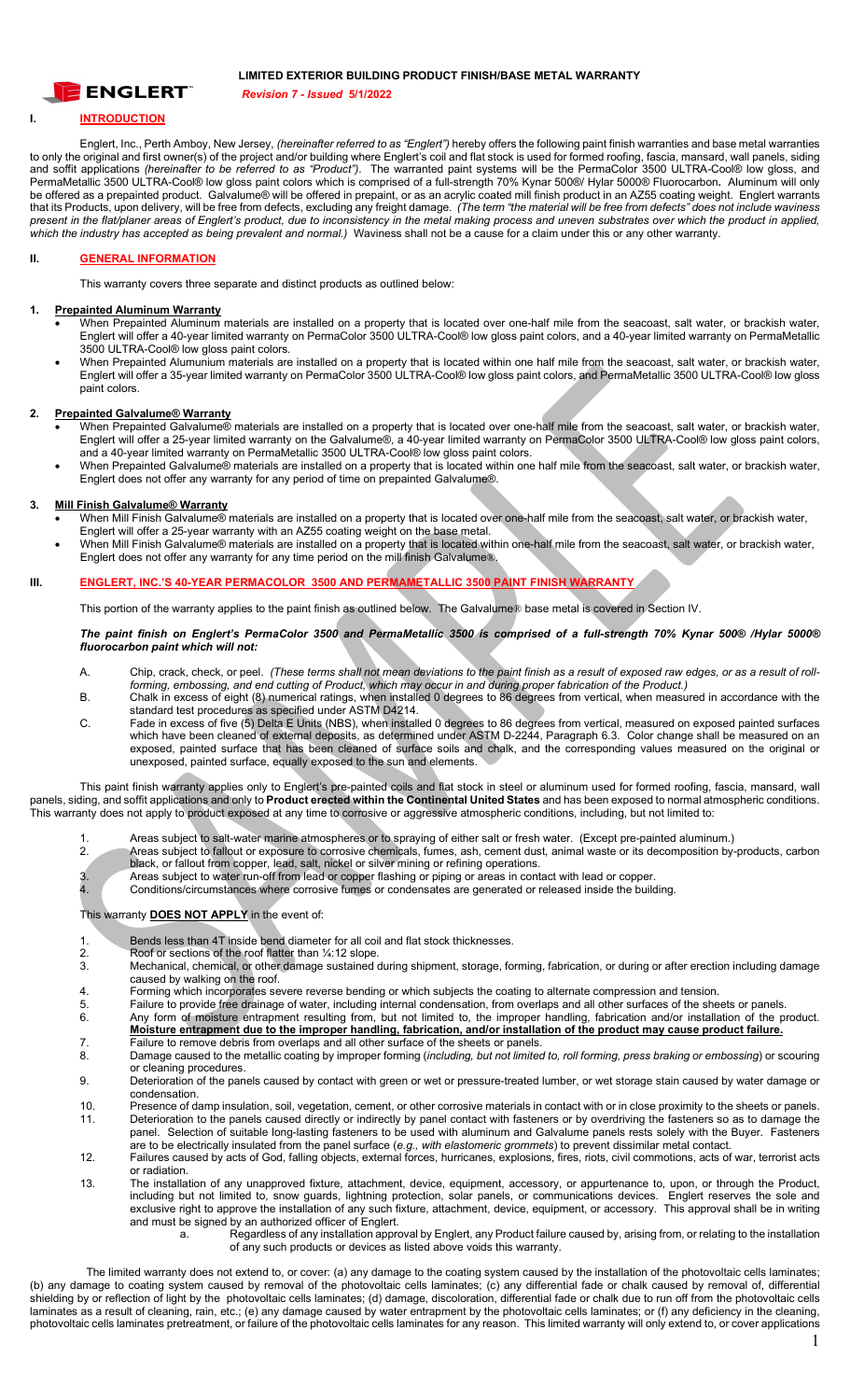

### **LIMITED EXTERIOR BUILDING PRODUCT FINISH/BASE METAL WARRANTY**

*Revision 7 - Issued* **5/1/2022** 

# **I. INTRODUCTION**

Englert, Inc., Perth Amboy, New Jersey, *(hereinafter referred to as "Englert")* hereby offers the following paint finish warranties and base metal warranties to only the original and first owner(s) of the project and/or building where Englert's coil and flat stock is used for formed roofing, fascia, mansard, wall panels, siding and soffit applications *(hereinafter to be referred to as "Product")*. The warranted paint systems will be the PermaColor 3500 ULTRA-Cool® low gloss, and PermaMetallic 3500 ULTRA-Cool® low gloss paint colors which is comprised of a full-strength 70% Kynar 500®/ Hylar 5000® Fluorocarbon*.* Aluminum will only be offered as a prepainted product. Galvalume® will be offered in prepaint, or as an acrylic coated mill finish product in an AZ55 coating weight. Englert warrants that its Products, upon delivery, will be free from defects, excluding any freight damage. *(The term "the material will be free from defects" does not include waviness present in the flat/planer areas of Englert's product, due to inconsistency in the metal making process and uneven substrates over which the product in applied, which the industry has accepted as being prevalent and normal.)* Waviness shall not be a cause for a claim under this or any other warranty.

# **II. GENERAL INFORMATION**

This warranty covers three separate and distinct products as outlined below:

#### **1. Prepainted Aluminum Warranty**

- When Prepainted Aluminum materials are installed on a property that is located over one-half mile from the seacoast, salt water, or brackish water, Englert will offer a 40-year limited warranty on PermaColor 3500 ULTRA-Cool® low gloss paint colors, and a 40-year limited warranty on PermaMetallic 3500 ULTRA-Cool® low gloss paint colors.
- When Prepainted Alumunium materials are installed on a property that is located within one half mile from the seacoast, salt water, or brackish water, Englert will offer a 35-year limited warranty on PermaColor 3500 ULTRA-Cool® low gloss paint colors, and PermaMetallic 3500 ULTRA-Cool® low gloss paint colors.

## **2. Prepainted Galvalume® Warranty**

- When Prepainted Galvalume® materials are installed on a property that is located over one-half mile from the seacoast, salt water, or brackish water, Englert will offer a 25-year limited warranty on the Galvalume®, a 40-year limited warranty on PermaColor 3500 ULTRA-Cool® low gloss paint colors, and a 40-year limited warranty on PermaMetallic 3500 ULTRA-Cool® low gloss paint colors.
- When Prepainted Galvalume® materials are installed on a property that is located within one half mile from the seacoast, salt water, or brackish water, Englert does not offer any warranty for any period of time on prepainted Galvalume®.

## **3. Mill Finish Galvalume® Warranty**

- When Mill Finish Galvalume® materials are installed on a property that is located over one-half mile from the seacoast, salt water, or brackish water, Englert will offer a 25-year warranty with an AZ55 coating weight on the base metal.
- When Mill Finish Galvalume® materials are installed on a property that is located within one-half mile from the seacoast, salt water, or brackish water, Englert does not offer any warranty for any time period on the mill finish Galvalume®.

#### **III. ENGLERT, INC.'S 40-YEAR PERMACOLOR 3500 AND PERMAMETALLIC 3500 PAINT FINISH WARRANTY**

This portion of the warranty applies to the paint finish as outlined below. The Galvalume® base metal is covered in Section IV.

#### *The paint finish on Englert's PermaColor 3500 and PermaMetallic 3500 is comprised of a full-strength 70% Kynar 500® /Hylar 5000® fluorocarbon paint which will not:*

- A. Chip, crack, check, or peel. *(These terms shall not mean deviations to the paint finish as a result of exposed raw edges, or as a result of rollforming, embossing, and end cutting of Product, which may occur in and during proper fabrication of the Product.)*
- B. Chalk in excess of eight (8) numerical ratings, when installed 0 degrees to 86 degrees from vertical, when measured in accordance with the standard test procedures as specified under ASTM D4214.
- C. Fade in excess of five (5) Delta E Units (NBS), when installed 0 degrees to 86 degrees from vertical, measured on exposed painted surfaces which have been cleaned of external deposits, as determined under ASTM D-2244, Paragraph 6.3. Color change shall be measured on an exposed, painted surface that has been cleaned of surface soils and chalk, and the corresponding values measured on the original or unexposed, painted surface, equally exposed to the sun and elements.

This paint finish warranty applies only to Englert's pre-painted coils and flat stock in steel or aluminum used for formed roofing, fascia, mansard, wall panels, siding, and soffit applications and only to **Product erected within the Continental United States** and has been exposed to normal atmospheric conditions. This warranty does not apply to product exposed at any time to corrosive or aggressive atmospheric conditions, including, but not limited to:

- 1. Areas subject to salt-water marine atmospheres or to spraying of either salt or fresh water. (Except pre-painted aluminum.)<br>2. Areas subject to fallout or exposure to corrosive chemicals, fumes, ash, cement dust, animal
- 2. Areas subject to fallout or exposure to corrosive chemicals, fumes, ash, cement dust, animal waste or its decomposition by-products, carbon black, or fallout from copper, lead, salt, nickel or silver mining or refining operations.
- 3. Areas subject to water run-off from lead or copper flashing or piping or areas in contact with lead or copper.<br>Conditions/circumstances where corrosive fumes or condensates are generated or released inside the build
- 4. Conditions/circumstances where corrosive fumes or condensates are generated or released inside the building.

#### This warranty **DOES NOT APPLY** in the event of:

- 1. Bends less than 4T inside bend diameter for all coil and flat stock thicknesses.
- 2. Roof or sections of the roof flatter than ¼:12 slope.
- 3. Mechanical, chemical, or other damage sustained during shipment, storage, forming, fabrication, or during or after erection including damage caused by walking on the roof.
- 4. Forming which incorporates severe reverse bending or which subjects the coating to alternate compression and tension.
- 5. Failure to provide free drainage of water, including internal condensation, from overlaps and all other surfaces of the sheets or panels. 6. Any form of moisture entrapment resulting from, but not limited to, the improper handling, fabrication and/or installation of the product.
- **Moisture entrapment due to the improper handling, fabrication, and/or installation of the product may cause product failure.** 7. Failure to remove debris from overlaps and all other surface of the sheets or panels.<br>8. Damage caused to the metallic coating by improper forming (including but not limited
- 8. Damage caused to the metallic coating by improper forming (*including, but not limited to, roll forming, press braking or embossing*) or scouring or cleaning procedures.
- 9. Deterioration of the panels caused by contact with green or wet or pressure-treated lumber, or wet storage stain caused by water damage or condensation.
- 10. Presence of damp insulation, soil, vegetation, cement, or other corrosive materials in contact with or in close proximity to the sheets or panels. 11. Deterioration to the panels caused directly or indirectly by panel contact with fasteners or by overdriving the fasteners so as to damage the panel. Selection of suitable long-lasting fasteners to be used with aluminum and Galvalume panels rests solely with the Buyer. Fasteners
- are to be electrically insulated from the panel surface (*e.g., with elastomeric grommets*) to prevent dissimilar metal contact. 12. Failures caused by acts of God, falling objects, external forces, hurricanes, explosions, fires, riots, civil commotions, acts of war, terrorist acts or radiation.
- 13. The installation of any unapproved fixture, attachment, device, equipment, accessory, or appurtenance to, upon, or through the Product, including but not limited to, snow guards, lightning protection, solar panels, or communications devices. Englert reserves the sole and exclusive right to approve the installation of any such fixture, attachment, device, equipment, or accessory. This approval shall be in writing and must be signed by an authorized officer of Englert.
	- a. Regardless of any installation approval by Englert, any Product failure caused by, arising from, or relating to the installation of any such products or devices as listed above voids this warranty.

The limited warranty does not extend to, or cover: (a) any damage to the coating system caused by the installation of the photovoltaic cells laminates; (b) any damage to coating system caused by removal of the photovoltaic cells laminates; (c) any differential fade or chalk caused by removal of, differential shielding by or reflection of light by the photovoltaic cells laminates; (d) damage, discoloration, differential fade or chalk due to run off from the photovoltaic cells laminates as a result of cleaning, rain, etc.; (e) any damage caused by water entrapment by the photovoltaic cells laminates; or (f) any deficiency in the cleaning, photovoltaic cells laminates pretreatment, or failure of the photovoltaic cells laminates for any reason. This limited warranty will only extend to, or cover applications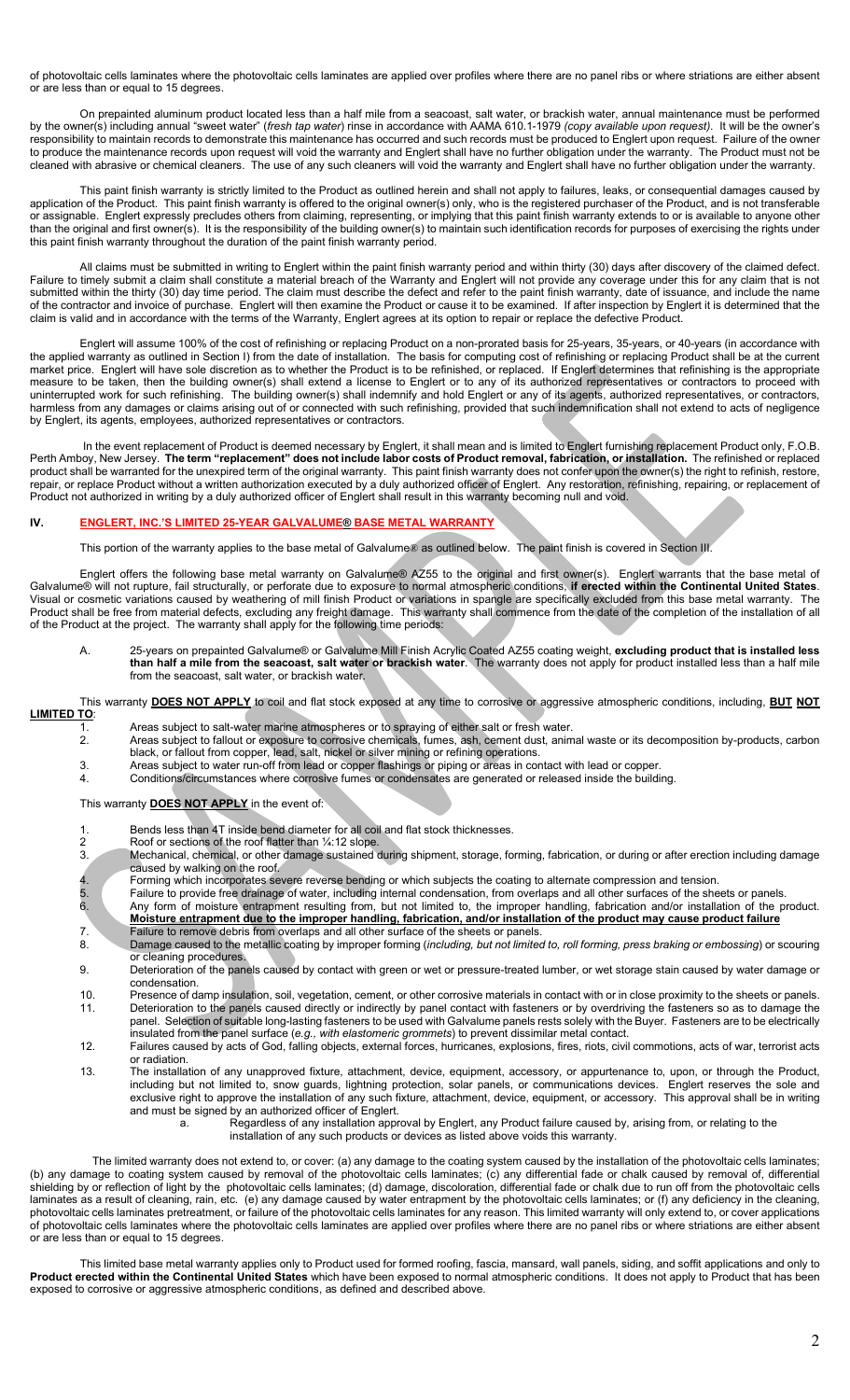of photovoltaic cells laminates where the photovoltaic cells laminates are applied over profiles where there are no panel ribs or where striations are either absent or are less than or equal to 15 degrees.

On prepainted aluminum product located less than a half mile from a seacoast, salt water, or brackish water, annual maintenance must be performed by the owner(s) including annual "sweet water" (*fresh tap water*) rinse in accordance with AAMA 610.1-1979 *(copy available upon request)*. It will be the owner's responsibility to maintain records to demonstrate this maintenance has occurred and such records must be produced to Englert upon request. Failure of the owner to produce the maintenance records upon request will void the warranty and Englert shall have no further obligation under the warranty. The Product must not be cleaned with abrasive or chemical cleaners. The use of any such cleaners will void the warranty and Englert shall have no further obligation under the warranty.

This paint finish warranty is strictly limited to the Product as outlined herein and shall not apply to failures, leaks, or consequential damages caused by application of the Product. This paint finish warranty is offered to the original owner(s) only, who is the registered purchaser of the Product, and is not transferable or assignable. Englert expressly precludes others from claiming, representing, or implying that this paint finish warranty extends to or is available to anyone other than the original and first owner(s). It is the responsibility of the building owner(s) to maintain such identification records for purposes of exercising the rights under this paint finish warranty throughout the duration of the paint finish warranty period.

All claims must be submitted in writing to Englert within the paint finish warranty period and within thirty (30) days after discovery of the claimed defect. Failure to timely submit a claim shall constitute a material breach of the Warranty and Englert will not provide any coverage under this for any claim that is not submitted within the thirty (30) day time period. The claim must describe the defect and refer to the paint finish warranty, date of issuance, and include the name of the contractor and invoice of purchase. Englert will then examine the Product or cause it to be examined. If after inspection by Englert it is determined that the claim is valid and in accordance with the terms of the Warranty, Englert agrees at its option to repair or replace the defective Product.

Englert will assume 100% of the cost of refinishing or replacing Product on a non-prorated basis for 25-years, 35-years, or 40-years (in accordance with the applied warranty as outlined in Section I) from the date of installation. The basis for computing cost of refinishing or replacing Product shall be at the current market price. Englert will have sole discretion as to whether the Product is to be refinished, or replaced. If Englert determines that refinishing is the appropriate measure to be taken, then the building owner(s) shall extend a license to Englert or to any of its authorized representatives or contractors to proceed with uninterrupted work for such refinishing. The building owner(s) shall indemnify and hold Englert or any of its agents, authorized representatives, or contractors, harmless from any damages or claims arising out of or connected with such refinishing, provided that such indemnification shall not extend to acts of negligence by Englert, its agents, employees, authorized representatives or contractors.

In the event replacement of Product is deemed necessary by Englert, it shall mean and is limited to Englert furnishing replacement Product only, F.O.B. Perth Amboy, New Jersey. **The term "replacement" does not include labor costs of Product removal, fabrication, or installation.** The refinished or replaced product shall be warranted for the unexpired term of the original warranty. This paint finish warranty does not confer upon the owner(s) the right to refinish, restore, repair, or replace Product without a written authorization executed by a duly authorized officer of Englert. Any restoration, refinishing, repairing, or replacement of Product not authorized in writing by a duly authorized officer of Englert shall result in this warranty becoming null and void.

#### **IV. ENGLERT, INC.'S LIMITED 25-YEAR GALVALUME® BASE METAL WARRANTY**

This portion of the warranty applies to the base metal of Galvalume® as outlined below. The paint finish is covered in Section III.

Englert offers the following base metal warranty on Galvalume® AZ55 to the original and first owner(s). Englert warrants that the base metal of Galvalume® will not rupture, fail structurally, or perforate due to exposure to normal atmospheric conditions, **if erected within the Continental United States**. Visual or cosmetic variations caused by weathering of mill finish Product or variations in spangle are specifically excluded from this base metal warranty. The Product shall be free from material defects, excluding any freight damage. This warranty shall commence from the date of the completion of the installation of all of the Product at the project. The warranty shall apply for the following time periods:

A. 25-years on prepainted Galvalume® or Galvalume Mill Finish Acrylic Coated AZ55 coating weight, **excluding product that is installed less than half a mile from the seacoast, salt water or brackish water**. The warranty does not apply for product installed less than a half mile from the seacoast, salt water, or brackish water.

#### This warranty **DOES NOT APPLY** to coil and flat stock exposed at any time to corrosive or aggressive atmospheric conditions, including, **BUT NOT LIMITED TO**:

- 1. Areas subject to salt-water marine atmospheres or to spraying of either salt or fresh water. 2. Areas subject to fallout or exposure to corrosive chemicals, fumes, ash, cement dust, animal waste or its decomposition by-products, carbon
- black, or fallout from copper, lead, salt, nickel or silver mining or refining operations.
- 3. Areas subject to water run-off from lead or copper flashings or piping or areas in contact with lead or copper.
- 4. Conditions/circumstances where corrosive fumes or condensates are generated or released inside the building.

This warranty **DOES NOT APPLY** in the event of:

- 1. Bends less than 4T inside bend diameter for all coil and flat stock thicknesses.
- 2 Roof or sections of the roof flatter than ¼:12 slope.
- 3. Mechanical, chemical, or other damage sustained during shipment, storage, forming, fabrication, or during or after erection including damage caused by walking on the roof.
- 4. Forming which incorporates severe reverse bending or which subjects the coating to alternate compression and tension.
- 5. Failure to provide free drainage of water, including internal condensation, from overlaps and all other surfaces of the sheets or panels.
- 6. Any form of moisture entrapment resulting from, but not limited to, the improper handling, fabrication and/or installation of the product. **Moisture entrapment due to the improper handling, fabrication, and/or installation of the product may cause product failure**  7. Failure to remove debris from overlaps and all other surface of the sheets or panels.
- 8. Damage caused to the metallic coating by improper forming (*including, but not limited to, roll forming, press braking or embossing*) or scouring or cleaning procedures.
- 9. Deterioration of the panels caused by contact with green or wet or pressure-treated lumber, or wet storage stain caused by water damage or condensation.
- 10. Presence of damp insulation, soil, vegetation, cement, or other corrosive materials in contact with or in close proximity to the sheets or panels. 11. Deterioration to the panels caused directly or indirectly by panel contact with fasteners or by overdriving the fasteners so as to damage the panel. Selection of suitable long-lasting fasteners to be used with Galvalume panels rests solely with the Buyer. Fasteners are to be electrically insulated from the panel surface (*e.g., with elastomeric grommets*) to prevent dissimilar metal contact.
- 12. Failures caused by acts of God, falling objects, external forces, hurricanes, explosions, fires, riots, civil commotions, acts of war, terrorist acts or radiation.
- 13. The installation of any unapproved fixture, attachment, device, equipment, accessory, or appurtenance to, upon, or through the Product, including but not limited to, snow guards, lightning protection, solar panels, or communications devices. Englert reserves the sole and exclusive right to approve the installation of any such fixture, attachment, device, equipment, or accessory. This approval shall be in writing and must be signed by an authorized officer of Englert.
	- a. <sup>Comp</sup> Regardless of any installation approval by Englert, any Product failure caused by, arising from, or relating to the
		- installation of any such products or devices as listed above voids this warranty.

The limited warranty does not extend to, or cover: (a) any damage to the coating system caused by the installation of the photovoltaic cells laminates; (b) any damage to coating system caused by removal of the photovoltaic cells laminates; (c) any differential fade or chalk caused by removal of, differential shielding by or reflection of light by the photovoltaic cells laminates; (d) damage, discoloration, differential fade or chalk due to run off from the photovoltaic cells laminates as a result of cleaning, rain, etc. (e) any damage caused by water entrapment by the photovoltaic cells laminates; or (f) any deficiency in the cleaning, photovoltaic cells laminates pretreatment, or failure of the photovoltaic cells laminates for any reason. This limited warranty will only extend to, or cover applications of photovoltaic cells laminates where the photovoltaic cells laminates are applied over profiles where there are no panel ribs or where striations are either absent or are less than or equal to 15 degrees.

This limited base metal warranty applies only to Product used for formed roofing, fascia, mansard, wall panels, siding, and soffit applications and only to **Product erected within the Continental United States** which have been exposed to normal atmospheric conditions. It does not apply to Product that has been exposed to corrosive or aggressive atmospheric conditions, as defined and described above.